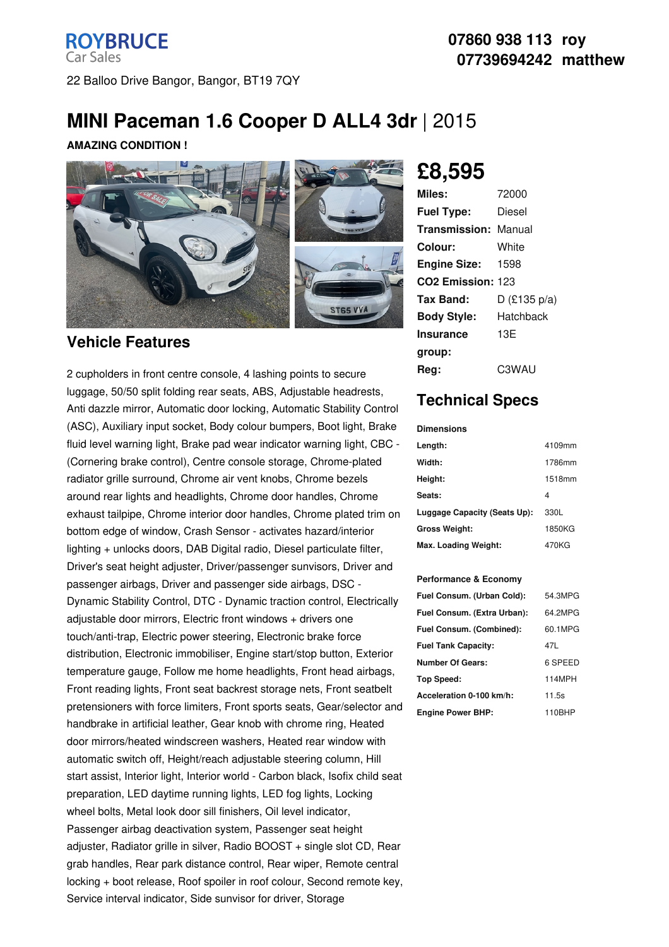# **MINI Paceman 1.6 Cooper D ALL4 3dr** |2015

#### **AMAZING CONDITION !**



### **Vehicle Features**

2 cupholders in front centre console, 4 lashing points to secure luggage, 50/50 split folding rear seats, ABS, Adjustable headrests, Anti dazzle mirror, Automatic door locking, Automatic Stability Control (ASC), Auxiliary input socket, Body colour bumpers, Boot light, Brake fluid level warning light, Brake pad wear indicator warning light, CBC - (Cornering brake control), Centre console storage, Chrome-plated radiator grille surround, Chrome air vent knobs, Chrome bezels around rear lights and headlights, Chrome door handles, Chrome exhaust tailpipe, Chrome interior door handles, Chrome plated trim on bottom edge of window, Crash Sensor - activates hazard/interior lighting + unlocks doors, DAB Digital radio, Diesel particulate filter, Driver's seat height adjuster, Driver/passenger sunvisors, Driver and passenger airbags, Driver and passenger side airbags, DSC - Dynamic Stability Control, DTC - Dynamic traction control, Electrically adjustable door mirrors, Electric front windows + drivers one touch/anti-trap, Electric power steering, Electronic brake force distribution, Electronic immobiliser, Engine start/stop button, Exterior temperature gauge, Follow me home headlights, Front head airbags, Front reading lights, Front seat backrest storage nets, Front seatbelt pretensioners with force limiters, Front sports seats, Gear/selector and handbrake in artificial leather, Gear knob with chrome ring, Heated door mirrors/heated windscreen washers, Heated rear window with automatic switch off, Height/reach adjustable steering column, Hill start assist, Interior light, Interior world - Carbon black, Isofix child seat preparation, LED daytime running lights, LED fog lights, Locking wheel bolts, Metal look door sill finishers, Oil level indicator, Passenger airbag deactivation system, Passenger seat height adjuster, Radiator grille in silver, Radio BOOST + single slot CD, Rear grab handles, Rear park distance control, Rear wiper, Remote central locking + boot release, Roof spoiler in roof colour, Second remote key, Service interval indicator, Side sunvisor for driver, Storage

# **£8,595**

| Miles:                        | 72000          |
|-------------------------------|----------------|
| <b>Fuel Type:</b>             | Diesel         |
| <b>Transmission: Manual</b>   |                |
| Colour:                       | White          |
| <b>Engine Size:</b>           | - 1598         |
| CO <sub>2</sub> Emission: 123 |                |
| Tax Band:                     | $D$ (£135 p/a) |
| <b>Body Style:</b>            | Hatchback      |
| Insurance                     | 13E            |
| group:                        |                |
| Rea:                          | C3WAU          |

## **Technical Specs**

#### **Dimensions**

| Length:                      | 4109mm |
|------------------------------|--------|
| Width:                       | 1786mm |
| Height:                      | 1518mm |
| Seats:                       | 4      |
| Luggage Capacity (Seats Up): | 330L   |
| <b>Gross Weight:</b>         | 1850KG |
| Max. Loading Weight:         | 470KG  |

#### **Performance & Economy**

| Fuel Consum. (Urban Cold):  | 54.3MPG |
|-----------------------------|---------|
| Fuel Consum. (Extra Urban): | 64.2MPG |
| Fuel Consum. (Combined):    | 60.1MPG |
| <b>Fuel Tank Capacity:</b>  | 47L     |
| <b>Number Of Gears:</b>     | 6 SPEED |
| <b>Top Speed:</b>           | 114MPH  |
| Acceleration 0-100 km/h:    | 11.5s   |
| <b>Engine Power BHP:</b>    | 110BHP  |